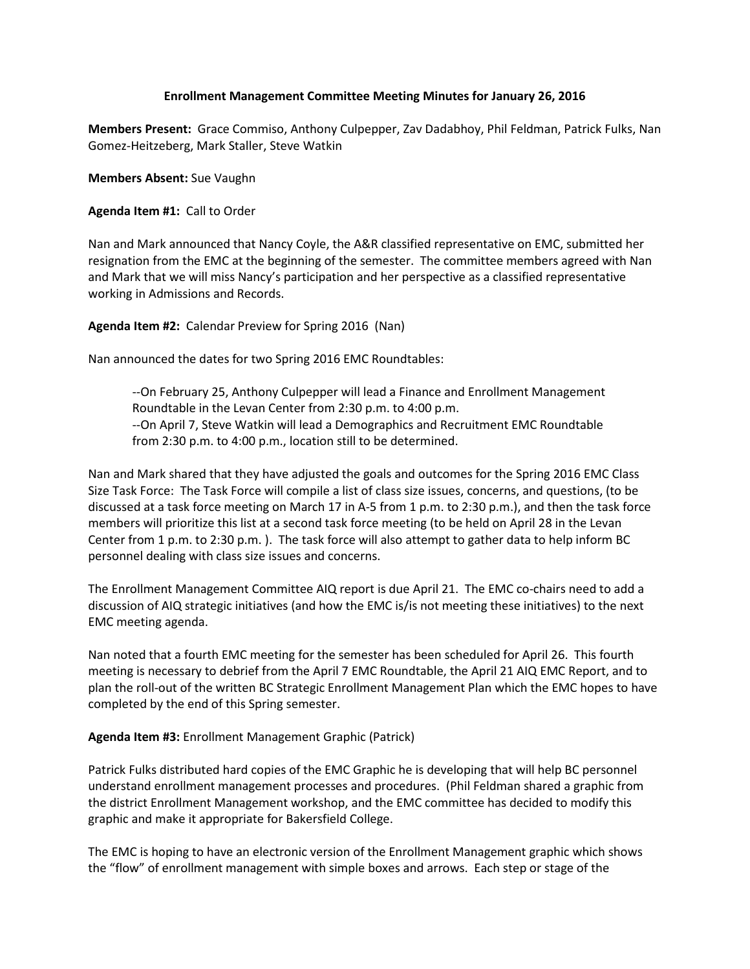## **Enrollment Management Committee Meeting Minutes for January 26, 2016**

**Members Present:** Grace Commiso, Anthony Culpepper, Zav Dadabhoy, Phil Feldman, Patrick Fulks, Nan Gomez-Heitzeberg, Mark Staller, Steve Watkin

**Members Absent:** Sue Vaughn

**Agenda Item #1:** Call to Order

Nan and Mark announced that Nancy Coyle, the A&R classified representative on EMC, submitted her resignation from the EMC at the beginning of the semester. The committee members agreed with Nan and Mark that we will miss Nancy's participation and her perspective as a classified representative working in Admissions and Records.

**Agenda Item #2:** Calendar Preview for Spring 2016 (Nan)

Nan announced the dates for two Spring 2016 EMC Roundtables:

--On February 25, Anthony Culpepper will lead a Finance and Enrollment Management Roundtable in the Levan Center from 2:30 p.m. to 4:00 p.m. --On April 7, Steve Watkin will lead a Demographics and Recruitment EMC Roundtable from 2:30 p.m. to 4:00 p.m., location still to be determined.

Nan and Mark shared that they have adjusted the goals and outcomes for the Spring 2016 EMC Class Size Task Force: The Task Force will compile a list of class size issues, concerns, and questions, (to be discussed at a task force meeting on March 17 in A-5 from 1 p.m. to 2:30 p.m.), and then the task force members will prioritize this list at a second task force meeting (to be held on April 28 in the Levan Center from 1 p.m. to 2:30 p.m. ). The task force will also attempt to gather data to help inform BC personnel dealing with class size issues and concerns.

The Enrollment Management Committee AIQ report is due April 21. The EMC co-chairs need to add a discussion of AIQ strategic initiatives (and how the EMC is/is not meeting these initiatives) to the next EMC meeting agenda.

Nan noted that a fourth EMC meeting for the semester has been scheduled for April 26. This fourth meeting is necessary to debrief from the April 7 EMC Roundtable, the April 21 AIQ EMC Report, and to plan the roll-out of the written BC Strategic Enrollment Management Plan which the EMC hopes to have completed by the end of this Spring semester.

**Agenda Item #3:** Enrollment Management Graphic (Patrick)

Patrick Fulks distributed hard copies of the EMC Graphic he is developing that will help BC personnel understand enrollment management processes and procedures. (Phil Feldman shared a graphic from the district Enrollment Management workshop, and the EMC committee has decided to modify this graphic and make it appropriate for Bakersfield College.

The EMC is hoping to have an electronic version of the Enrollment Management graphic which shows the "flow" of enrollment management with simple boxes and arrows. Each step or stage of the